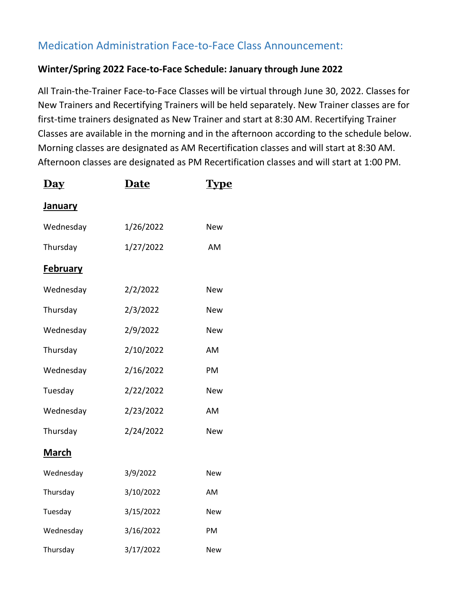## Medication Administration Face-to-Face Class Announcement:

## **Winter/Spring 2022 Face-to-Face Schedule: January through June 2022**

All Train-the-Trainer Face-to-Face Classes will be virtual through June 30, 2022. Classes for New Trainers and Recertifying Trainers will be held separately. New Trainer classes are for first-time trainers designated as New Trainer and start at 8:30 AM. Recertifying Trainer Classes are available in the morning and in the afternoon according to the schedule below. Morning classes are designated as AM Recertification classes and will start at 8:30 AM. Afternoon classes are designated as PM Recertification classes and will start at 1:00 PM.

| <u>Day</u>      | <u>Date</u> | <u>Type</u> |
|-----------------|-------------|-------------|
| <u>January</u>  |             |             |
| Wednesday       | 1/26/2022   | <b>New</b>  |
| Thursday        | 1/27/2022   | AM          |
| <b>February</b> |             |             |
| Wednesday       | 2/2/2022    | <b>New</b>  |
| Thursday        | 2/3/2022    | <b>New</b>  |
| Wednesday       | 2/9/2022    | <b>New</b>  |
| Thursday        | 2/10/2022   | AM          |
| Wednesday       | 2/16/2022   | PM          |
| Tuesday         | 2/22/2022   | <b>New</b>  |
| Wednesday       | 2/23/2022   | AM          |
| Thursday        | 2/24/2022   | <b>New</b>  |
| March           |             |             |
| Wednesday       | 3/9/2022    | New         |
| Thursday        | 3/10/2022   | AM          |
| Tuesday         | 3/15/2022   | New         |
| Wednesday       | 3/16/2022   | PM          |
| Thursday        | 3/17/2022   | New         |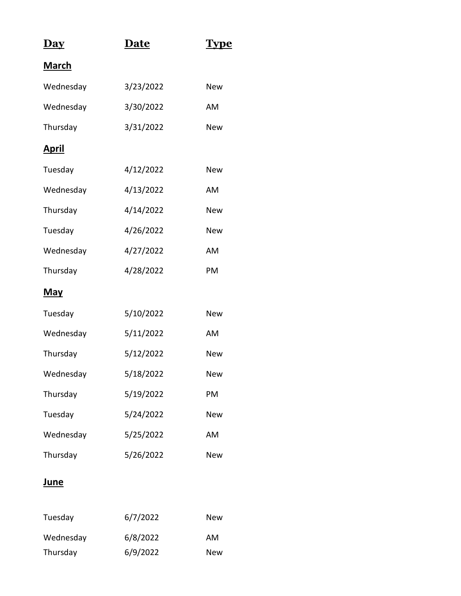| <u>Day</u>   | Date      | <b>Type</b> |
|--------------|-----------|-------------|
| <u>March</u> |           |             |
| Wednesday    | 3/23/2022 | <b>New</b>  |
| Wednesday    | 3/30/2022 | AM          |
| Thursday     | 3/31/2022 | New         |
| <u>April</u> |           |             |
| Tuesday      | 4/12/2022 | New         |
| Wednesday    | 4/13/2022 | AM          |
| Thursday     | 4/14/2022 | New         |
| Tuesday      | 4/26/2022 | New         |
| Wednesday    | 4/27/2022 | AM          |
| Thursday     | 4/28/2022 | PM          |
| <u>May</u>   |           |             |
| Tuesday      | 5/10/2022 | <b>New</b>  |
| Wednesday    | 5/11/2022 | AM          |
| Thursday     | 5/12/2022 | New         |
| Wednesday    | 5/18/2022 | New         |
| Thursday     | 5/19/2022 | PM          |
| Tuesday      | 5/24/2022 | <b>New</b>  |
| Wednesday    | 5/25/2022 | AM          |
| Thursday     | 5/26/2022 | <b>New</b>  |
| <u>June</u>  |           |             |

| Tuesday   | 6/7/2022 | New |
|-----------|----------|-----|
| Wednesday | 6/8/2022 | AM  |
| Thursday  | 6/9/2022 | New |